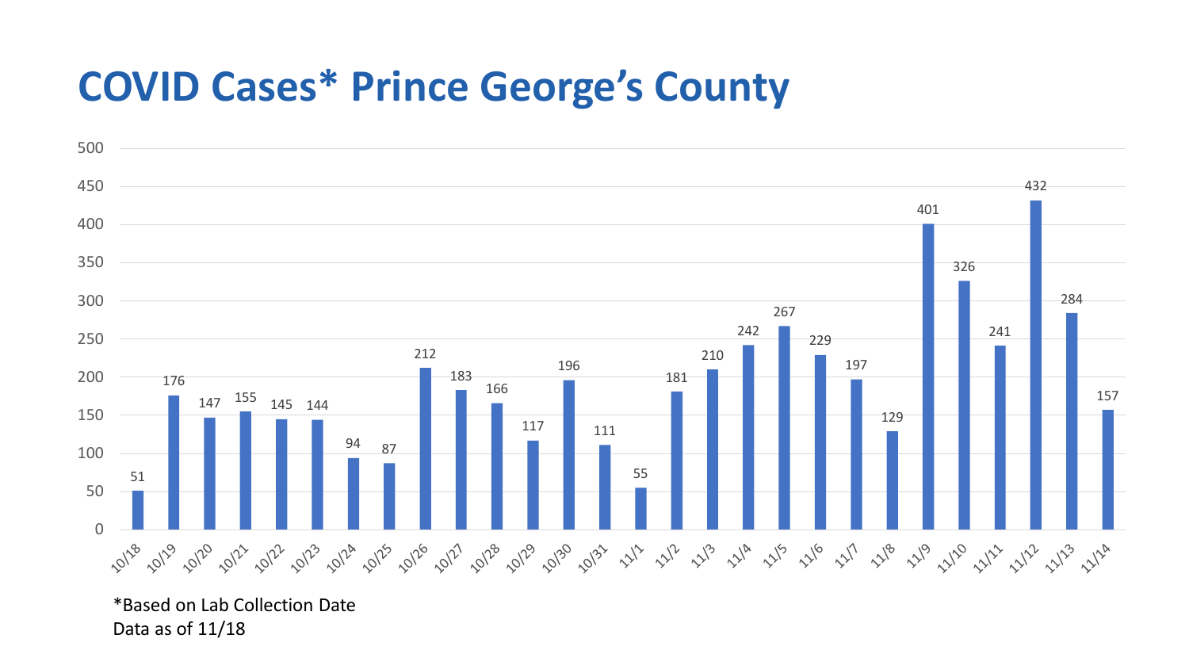## **COVID Cases\* Prince George's County**



\*Based on Lab Collection Date Data as of 11/18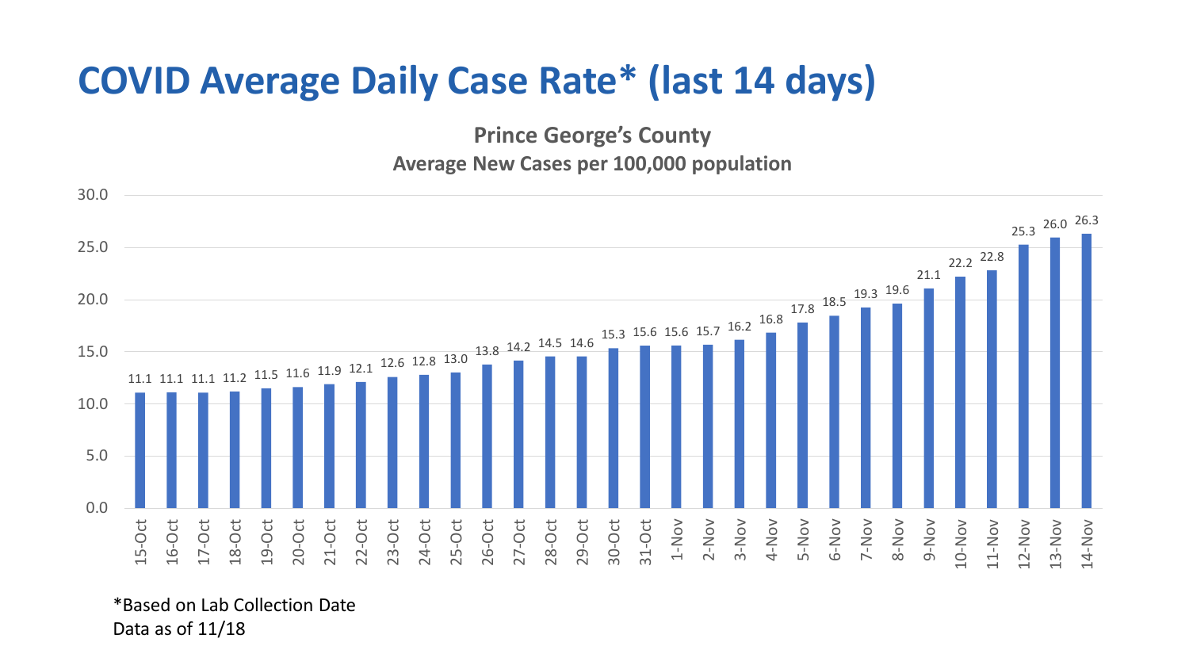## **COVID Average Daily Case Rate\* (last 14 days)**

**Prince George's County Average New Cases per 100,000 population**



\*Based on Lab Collection Date Data as of 11/18